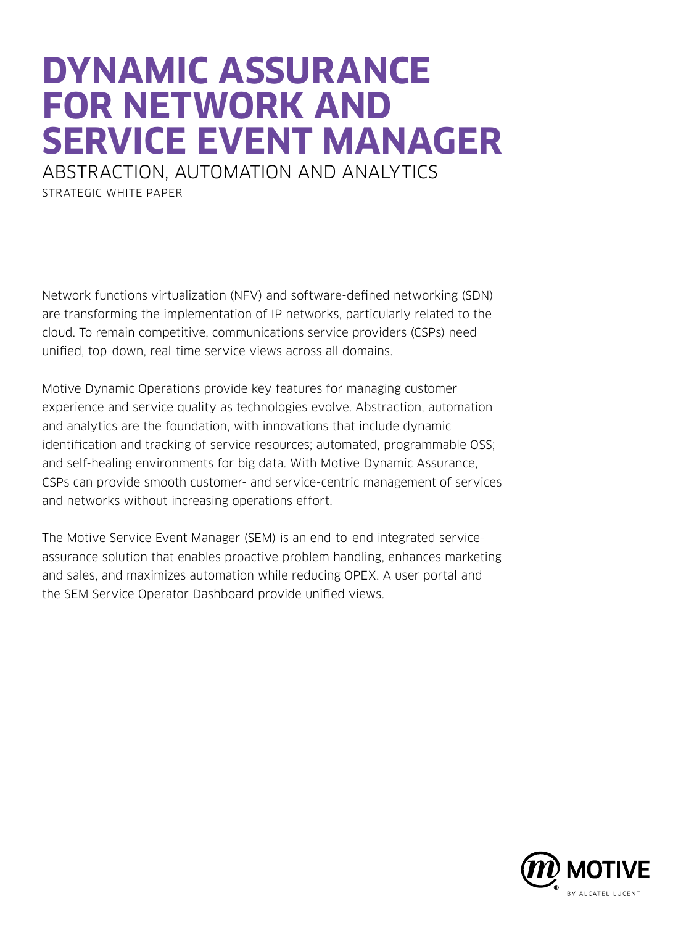# **DYNAMIC ASSURANCE FOR NETWORK AND SERVICE EVENT MANAGER**

ABSTRACTION, AUTOMATION AND ANALYTICS STRATEGIC WHITE PAPER

Network functions virtualization (NFV) and software-defined networking (SDN) are transforming the implementation of IP networks, particularly related to the cloud. To remain competitive, communications service providers (CSPs) need unified, top-down, real-time service views across all domains.

Motive Dynamic Operations provide key features for managing customer experience and service quality as technologies evolve. Abstraction, automation and analytics are the foundation, with innovations that include dynamic identification and tracking of service resources; automated, programmable OSS; and self-healing environments for big data. With Motive Dynamic Assurance, CSPs can provide smooth customer- and service-centric management of services and networks without increasing operations effort.

The Motive Service Event Manager (SEM) is an end-to-end integrated serviceassurance solution that enables proactive problem handling, enhances marketing and sales, and maximizes automation while reducing OPEX. A user portal and the SEM Service Operator Dashboard provide unified views.

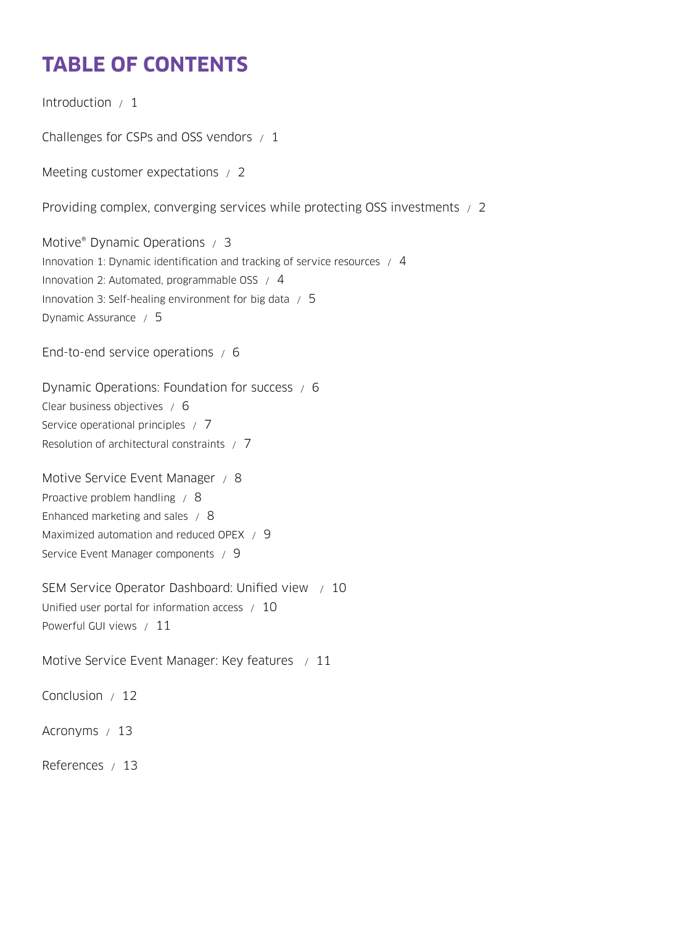# **TABLE OF CONTENTS**

[Introduction / 1](#page-2-0)

[Challenges for CSPs and OSS vendors / 1](#page-2-0)

[Meeting customer expectations / 2](#page-3-0)

[Providing complex, converging services while protecting OSS investments / 2](#page-3-0)

Motive<sup>®</sup> Dynamic Operations / 3 [Innovation 1: Dynamic identification and tracking of service resources / 4](#page-5-0) [Innovation 2: Automated, programmable OSS / 4](#page-5-0) [Innovation 3: Self-healing environment for big data / 5](#page-6-0) [Dynamic Assurance / 5](#page-6-0)

[End-to-end service operations / 6](#page-7-0)

[Dynamic Operations: Foundation for success / 6](#page-7-0) [Clear business objectives / 6](#page-7-0) [Service operational principles / 7](#page-8-0) [Resolution of architectural constraints / 7](#page-8-0)

[Motive Service Event Manager / 8](#page-9-0) [Proactive problem handling / 8](#page-9-0) [Enhanced marketing and sales / 8](#page-9-0) [Maximized automation and reduced OPEX / 9](#page-10-0) [Service Event Manager components / 9](#page-10-0)

[SEM Service Operator Dashboard: Unified view / 10](#page-11-0) [Unified user portal for information access / 10](#page-11-0) [Powerful GUI views / 11](#page-12-0)

[Motive Service Event Manager: Key features / 11](#page-12-0)

[Conclusion / 12](#page-13-0)

[Acronyms / 13](#page-14-0)

[References / 13](#page-14-0)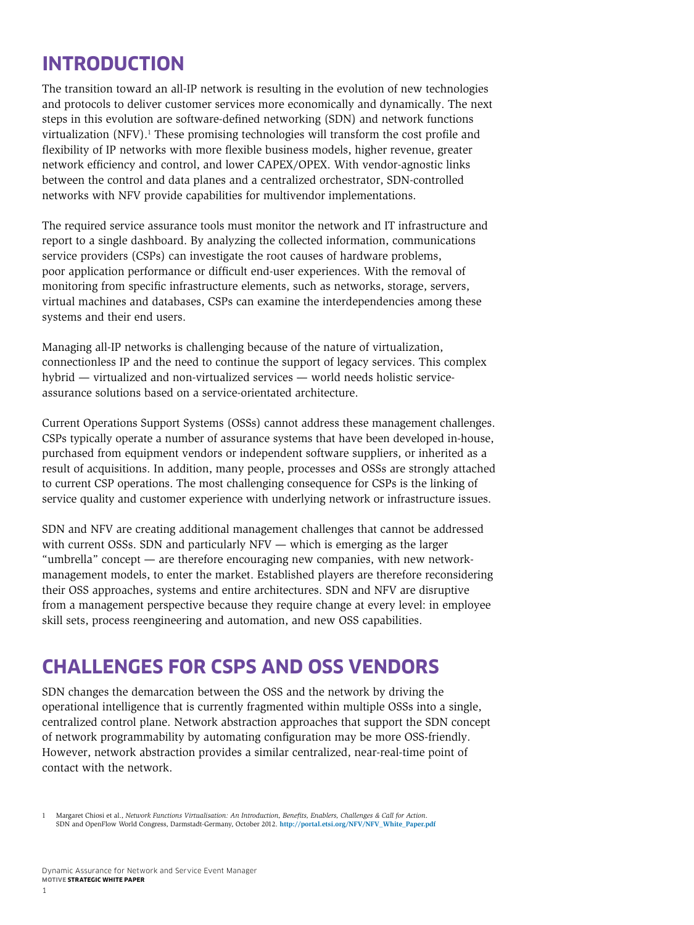### <span id="page-2-0"></span>**INTRODUCTION**

The transition toward an all-IP network is resulting in the evolution of new technologies and protocols to deliver customer services more economically and dynamically. The next steps in this evolution are software-defined networking (SDN) and network functions virtualization (NFV).<sup>1</sup> These promising technologies will transform the cost profile and flexibility of IP networks with more flexible business models, higher revenue, greater network efficiency and control, and lower CAPEX/OPEX. With vendor-agnostic links between the control and data planes and a centralized orchestrator, SDN-controlled networks with NFV provide capabilities for multivendor implementations.

The required service assurance tools must monitor the network and IT infrastructure and report to a single dashboard. By analyzing the collected information, communications service providers (CSPs) can investigate the root causes of hardware problems, poor application performance or difficult end-user experiences. With the removal of monitoring from specific infrastructure elements, such as networks, storage, servers, virtual machines and databases, CSPs can examine the interdependencies among these systems and their end users.

Managing all-IP networks is challenging because of the nature of virtualization, connectionless IP and the need to continue the support of legacy services. This complex hybrid — virtualized and non-virtualized services — world needs holistic serviceassurance solutions based on a service-orientated architecture.

Current Operations Support Systems (OSSs) cannot address these management challenges. CSPs typically operate a number of assurance systems that have been developed in-house, purchased from equipment vendors or independent software suppliers, or inherited as a result of acquisitions. In addition, many people, processes and OSSs are strongly attached to current CSP operations. The most challenging consequence for CSPs is the linking of service quality and customer experience with underlying network or infrastructure issues.

SDN and NFV are creating additional management challenges that cannot be addressed with current OSSs. SDN and particularly NFV — which is emerging as the larger "umbrella" concept — are therefore encouraging new companies, with new networkmanagement models, to enter the market. Established players are therefore reconsidering their OSS approaches, systems and entire architectures. SDN and NFV are disruptive from a management perspective because they require change at every level: in employee skill sets, process reengineering and automation, and new OSS capabilities.

### **CHALLENGES FOR CSPS AND OSS VENDORS**

SDN changes the demarcation between the OSS and the network by driving the operational intelligence that is currently fragmented within multiple OSSs into a single, centralized control plane. Network abstraction approaches that support the SDN concept of network programmability by automating configuration may be more OSS-friendly. However, network abstraction provides a similar centralized, near-real-time point of contact with the network.

<sup>1</sup> Margaret Chiosi et al., *Network Functions Virtualisation: An Introduction, Benefits, Enablers, Challenges & Call for Action*. SDN and OpenFlow World Congress, Darmstadt-Germany, October 2012. **[http://portal.etsi.org/NFV/NFV\\_White\\_Paper.pdf](http://portal.etsi.org/NFV/NFV_White_Paper.pdf)**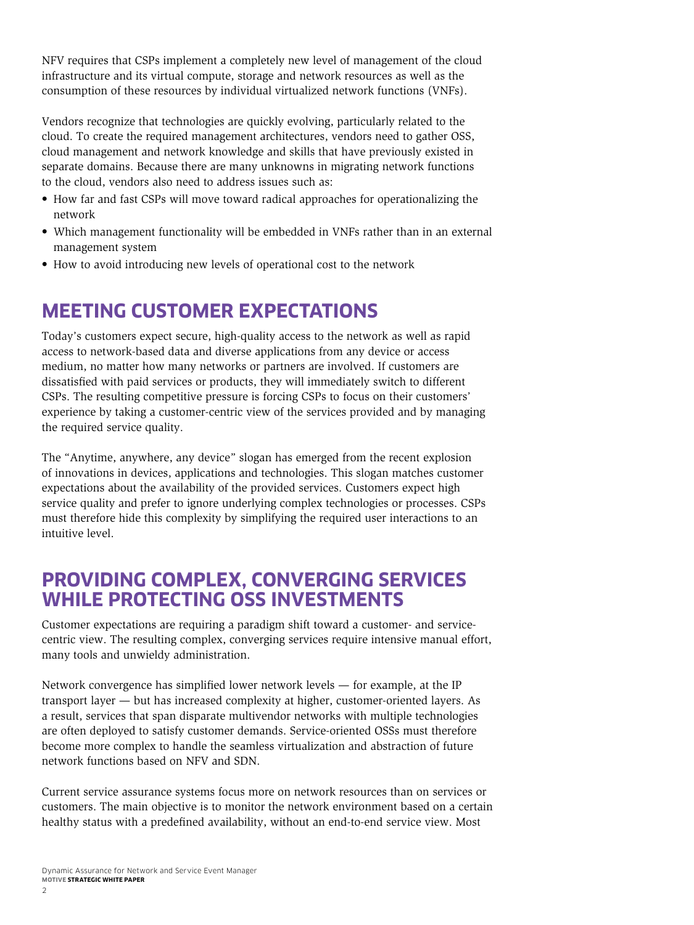<span id="page-3-0"></span>NFV requires that CSPs implement a completely new level of management of the cloud infrastructure and its virtual compute, storage and network resources as well as the consumption of these resources by individual virtualized network functions (VNFs).

Vendors recognize that technologies are quickly evolving, particularly related to the cloud. To create the required management architectures, vendors need to gather OSS, cloud management and network knowledge and skills that have previously existed in separate domains. Because there are many unknowns in migrating network functions to the cloud, vendors also need to address issues such as:

- How far and fast CSPs will move toward radical approaches for operationalizing the network
- Which management functionality will be embedded in VNFs rather than in an external management system
- How to avoid introducing new levels of operational cost to the network

# **MEETING CUSTOMER EXPECTATIONS**

Today's customers expect secure, high-quality access to the network as well as rapid access to network-based data and diverse applications from any device or access medium, no matter how many networks or partners are involved. If customers are dissatisfied with paid services or products, they will immediately switch to different CSPs. The resulting competitive pressure is forcing CSPs to focus on their customers' experience by taking a customer-centric view of the services provided and by managing the required service quality.

The "Anytime, anywhere, any device" slogan has emerged from the recent explosion of innovations in devices, applications and technologies. This slogan matches customer expectations about the availability of the provided services. Customers expect high service quality and prefer to ignore underlying complex technologies or processes. CSPs must therefore hide this complexity by simplifying the required user interactions to an intuitive level.

### **PROVIDING COMPLEX, CONVERGING SERVICES WHILE PROTECTING OSS INVESTMENTS**

Customer expectations are requiring a paradigm shift toward a customer- and servicecentric view. The resulting complex, converging services require intensive manual effort, many tools and unwieldy administration.

Network convergence has simplified lower network levels — for example, at the IP transport layer — but has increased complexity at higher, customer-oriented layers. As a result, services that span disparate multivendor networks with multiple technologies are often deployed to satisfy customer demands. Service-oriented OSSs must therefore become more complex to handle the seamless virtualization and abstraction of future network functions based on NFV and SDN.

Current service assurance systems focus more on network resources than on services or customers. The main objective is to monitor the network environment based on a certain healthy status with a predefined availability, without an end-to-end service view. Most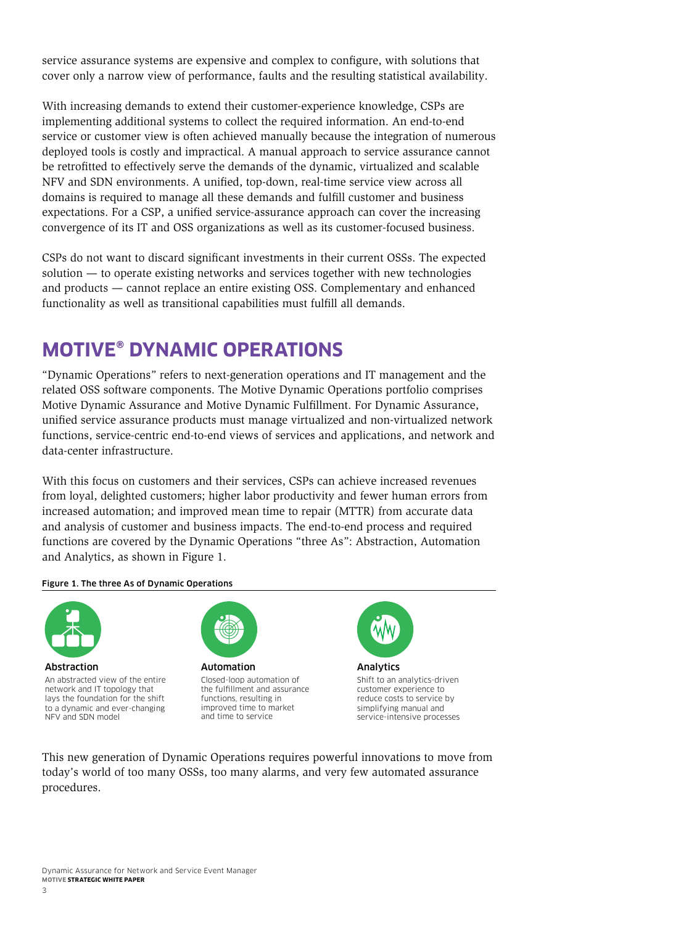<span id="page-4-0"></span>service assurance systems are expensive and complex to configure, with solutions that cover only a narrow view of performance, faults and the resulting statistical availability.

With increasing demands to extend their customer-experience knowledge, CSPs are implementing additional systems to collect the required information. An end-to-end service or customer view is often achieved manually because the integration of numerous deployed tools is costly and impractical. A manual approach to service assurance cannot be retrofitted to effectively serve the demands of the dynamic, virtualized and scalable NFV and SDN environments. A unified, top-down, real-time service view across all domains is required to manage all these demands and fulfill customer and business expectations. For a CSP, a unified service-assurance approach can cover the increasing convergence of its IT and OSS organizations as well as its customer-focused business.

CSPs do not want to discard significant investments in their current OSSs. The expected solution — to operate existing networks and services together with new technologies and products — cannot replace an entire existing OSS. Complementary and enhanced functionality as well as transitional capabilities must fulfill all demands.

## **MOTIVE® DYNAMIC OPERATIONS**

"Dynamic Operations" refers to next-generation operations and IT management and the related OSS software components. The Motive Dynamic Operations portfolio comprises Motive Dynamic Assurance and Motive Dynamic Fulfillment. For Dynamic Assurance, unified service assurance products must manage virtualized and non-virtualized network functions, service-centric end-to-end views of services and applications, and network and data-center infrastructure.

With this focus on customers and their services, CSPs can achieve increased revenues from loyal, delighted customers; higher labor productivity and fewer human errors from increased automation; and improved mean time to repair (MTTR) from accurate data and analysis of customer and business impacts. The end-to-end process and required functions are covered by the Dynamic Operations "three As": Abstraction, Automation and Analytics, as shown in Figure 1.

Figure 1. The three As of Dynamic Operations



Abstraction An abstracted view of the entire network and IT topology that lays the foundation for the shift to a dynamic and ever-changing NFV and SDN model



Automation Closed-loop automation of the fulfillment and assurance functions, resulting in improved time to market and time to service



Analytics Shift to an analytics-driven customer experience to reduce costs to service by simplifying manual and service-intensive processes

This new generation of Dynamic Operations requires powerful innovations to move from today's world of too many OSSs, too many alarms, and very few automated assurance procedures.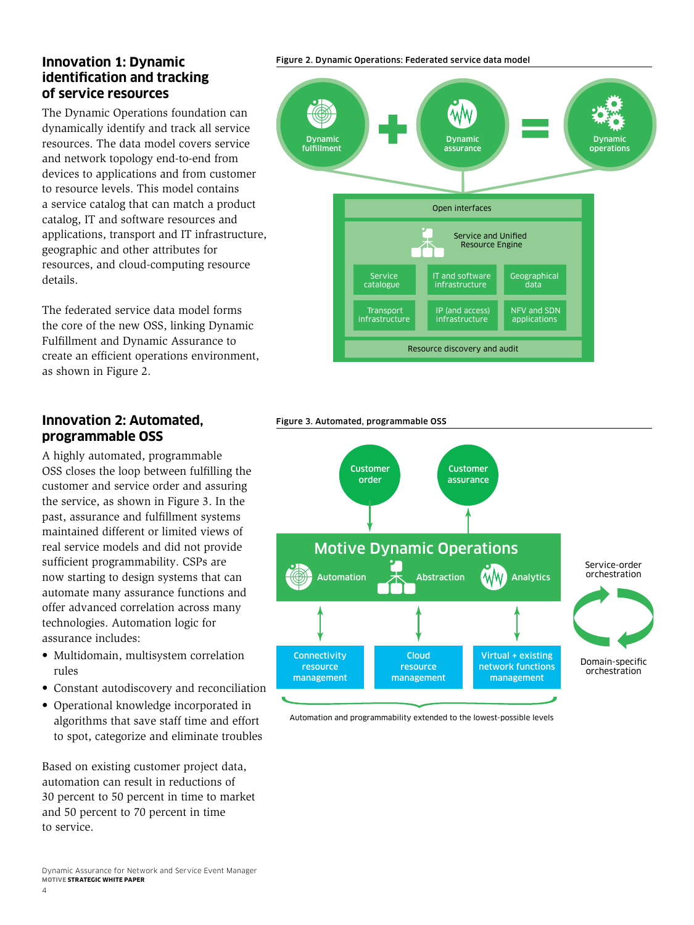#### <span id="page-5-0"></span>**Innovation 1: Dynamic identification and tracking of service resources**

The Dynamic Operations foundation can dynamically identify and track all service resources. The data model covers service and network topology end-to-end from devices to applications and from customer to resource levels. This model contains a service catalog that can match a product catalog, IT and software resources and applications, transport and IT infrastructure, geographic and other attributes for resources, and cloud-computing resource details.

The federated service data model forms the core of the new OSS, linking Dynamic Fulfillment and Dynamic Assurance to create an efficient operations environment, as shown in Figure 2.

### **Innovation 2: Automated, programmable OSS**

A highly automated, programmable OSS closes the loop between fulfilling the customer and service order and assuring the service, as shown in Figure 3. In the past, assurance and fulfillment systems maintained different or limited views of real service models and did not provide sufficient programmability. CSPs are now starting to design systems that can automate many assurance functions and offer advanced correlation across many technologies. Automation logic for assurance includes:

- Multidomain, multisystem correlation rules
- Constant autodiscovery and reconciliation
- Operational knowledge incorporated in algorithms that save staff time and effort to spot, categorize and eliminate troubles

Based on existing customer project data, automation can result in reductions of 30 percent to 50 percent in time to market and 50 percent to 70 percent in time to service.

#### Figure 2. Dynamic Operations: Federated service data model



#### Figure 3. Automated, programmable OSS



Automation and programmability extended to the lowest-possible levels

Dynamic Assurance for Network and Service Event Manager **MOTIVE STRATEGIC WHITE PAPER**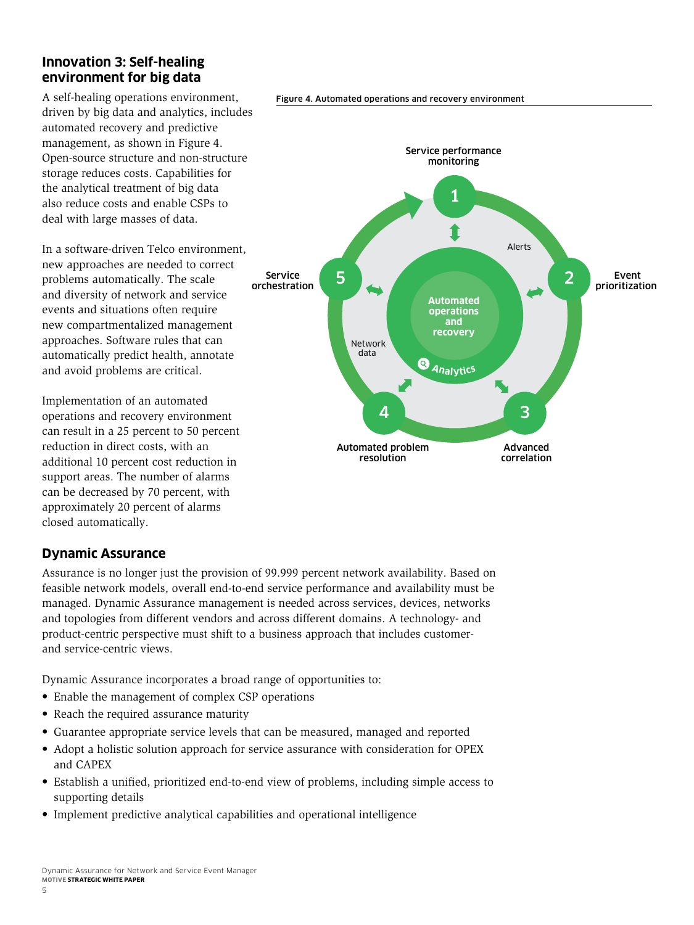#### <span id="page-6-0"></span>**Innovation 3: Self-healing environment for big data**

A self-healing operations environment, driven by big data and analytics, includes automated recovery and predictive management, as shown in Figure 4. Open-source structure and non-structure storage reduces costs. Capabilities for the analytical treatment of big data also reduce costs and enable CSPs to deal with large masses of data.

In a software-driven Telco environment, new approaches are needed to correct problems automatically. The scale and diversity of network and service events and situations often require new compartmentalized management approaches. Software rules that can automatically predict health, annotate and avoid problems are critical.

Implementation of an automated operations and recovery environment can result in a 25 percent to 50 percent reduction in direct costs, with an additional 10 percent cost reduction in support areas. The number of alarms can be decreased by 70 percent, with approximately 20 percent of alarms closed automatically.

### **Dynamic Assurance**

Assurance is no longer just the provision of 99.999 percent network availability. Based on feasible network models, overall end-to-end service performance and availability must be managed. Dynamic Assurance management is needed across services, devices, networks and topologies from different vendors and across different domains. A technology- and product-centric perspective must shift to a business approach that includes customerand service-centric views.

Dynamic Assurance incorporates a broad range of opportunities to:

- Enable the management of complex CSP operations
- Reach the required assurance maturity
- Guarantee appropriate service levels that can be measured, managed and reported
- Adopt a holistic solution approach for service assurance with consideration for OPEX and CAPEX
- Establish a unified, prioritized end-to-end view of problems, including simple access to supporting details
- Implement predictive analytical capabilities and operational intelligence





5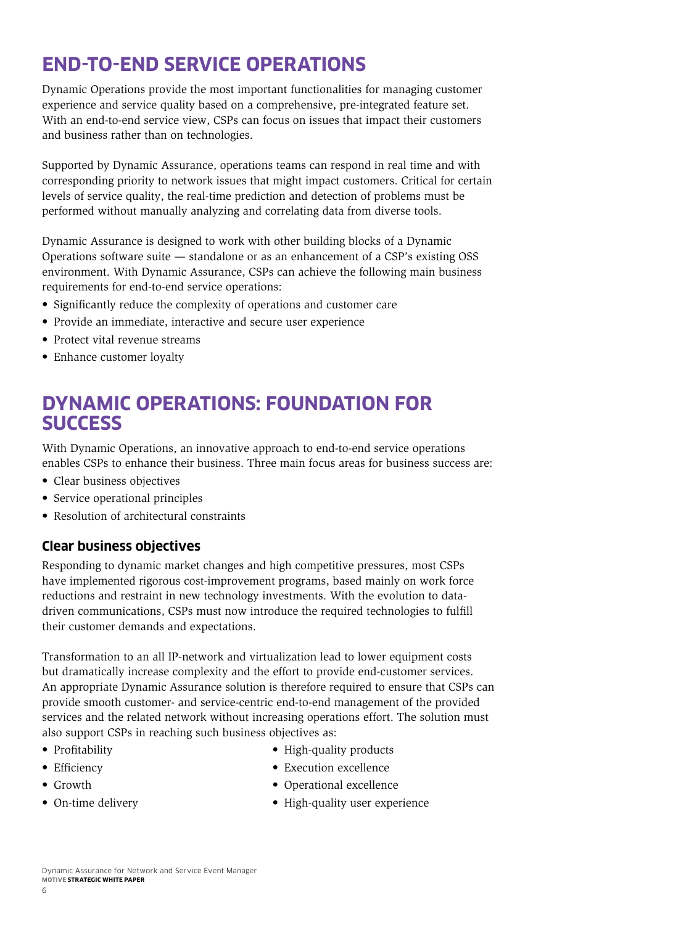# <span id="page-7-0"></span>**END-TO-END SERVICE OPERATIONS**

Dynamic Operations provide the most important functionalities for managing customer experience and service quality based on a comprehensive, pre-integrated feature set. With an end-to-end service view, CSPs can focus on issues that impact their customers and business rather than on technologies.

Supported by Dynamic Assurance, operations teams can respond in real time and with corresponding priority to network issues that might impact customers. Critical for certain levels of service quality, the real-time prediction and detection of problems must be performed without manually analyzing and correlating data from diverse tools.

Dynamic Assurance is designed to work with other building blocks of a Dynamic Operations software suite — standalone or as an enhancement of a CSP's existing OSS environment. With Dynamic Assurance, CSPs can achieve the following main business requirements for end-to-end service operations:

- Significantly reduce the complexity of operations and customer care
- Provide an immediate, interactive and secure user experience
- Protect vital revenue streams
- Enhance customer loyalty

### **DYNAMIC OPERATIONS: FOUNDATION FOR SUCCESS**

With Dynamic Operations, an innovative approach to end-to-end service operations enables CSPs to enhance their business. Three main focus areas for business success are:

- Clear business objectives
- Service operational principles
- Resolution of architectural constraints

#### **Clear business objectives**

Responding to dynamic market changes and high competitive pressures, most CSPs have implemented rigorous cost-improvement programs, based mainly on work force reductions and restraint in new technology investments. With the evolution to datadriven communications, CSPs must now introduce the required technologies to fulfill their customer demands and expectations.

Transformation to an all IP-network and virtualization lead to lower equipment costs but dramatically increase complexity and the effort to provide end-customer services. An appropriate Dynamic Assurance solution is therefore required to ensure that CSPs can provide smooth customer- and service-centric end-to-end management of the provided services and the related network without increasing operations effort. The solution must also support CSPs in reaching such business objectives as:

• Profitability • Efficiency

- High-quality products
- Execution excellence
- Growth
- On-time delivery
- Operational excellence
- High-quality user experience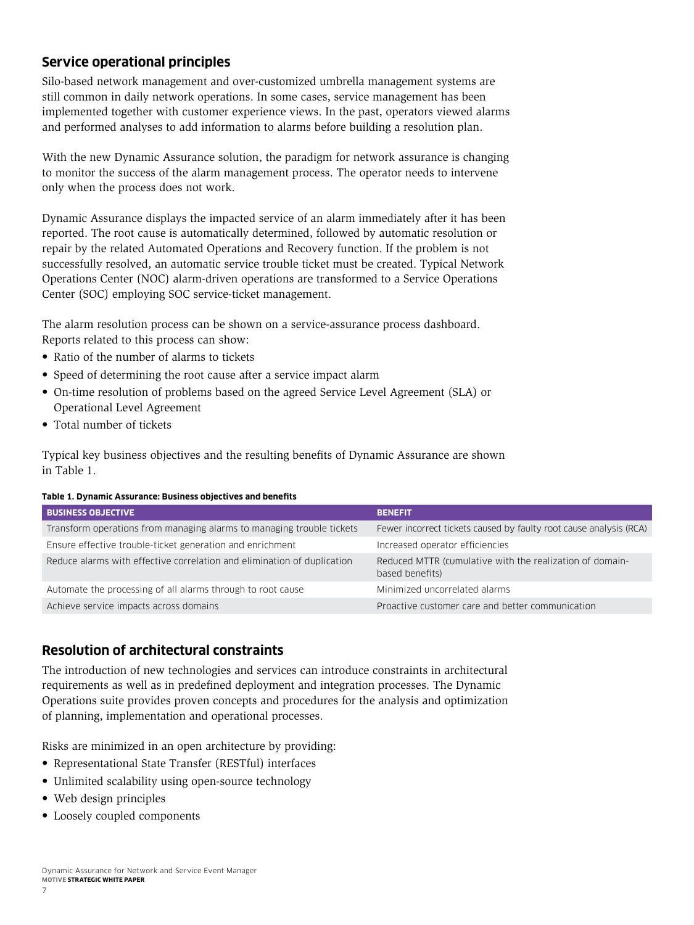### <span id="page-8-0"></span>**Service operational principles**

Silo-based network management and over-customized umbrella management systems are still common in daily network operations. In some cases, service management has been implemented together with customer experience views. In the past, operators viewed alarms and performed analyses to add information to alarms before building a resolution plan.

With the new Dynamic Assurance solution, the paradigm for network assurance is changing to monitor the success of the alarm management process. The operator needs to intervene only when the process does not work.

Dynamic Assurance displays the impacted service of an alarm immediately after it has been reported. The root cause is automatically determined, followed by automatic resolution or repair by the related Automated Operations and Recovery function. If the problem is not successfully resolved, an automatic service trouble ticket must be created. Typical Network Operations Center (NOC) alarm-driven operations are transformed to a Service Operations Center (SOC) employing SOC service-ticket management.

The alarm resolution process can be shown on a service-assurance process dashboard. Reports related to this process can show:

- Ratio of the number of alarms to tickets
- Speed of determining the root cause after a service impact alarm
- On-time resolution of problems based on the agreed Service Level Agreement (SLA) or Operational Level Agreement
- Total number of tickets

Typical key business objectives and the resulting benefits of Dynamic Assurance are shown in Table 1.

#### **Table 1. Dynamic Assurance: Business objectives and benefits**

| <b>BUSINESS OBJECTIVE</b>                                               | <b>BENEFIT</b>                                                              |
|-------------------------------------------------------------------------|-----------------------------------------------------------------------------|
| Transform operations from managing alarms to managing trouble tickets   | Fewer incorrect tickets caused by faulty root cause analysis (RCA)          |
| Ensure effective trouble-ticket generation and enrichment               | Increased operator efficiencies                                             |
| Reduce alarms with effective correlation and elimination of duplication | Reduced MTTR (cumulative with the realization of domain-<br>based benefits) |
| Automate the processing of all alarms through to root cause             | Minimized uncorrelated alarms                                               |
| Achieve service impacts across domains                                  | Proactive customer care and better communication                            |

#### **Resolution of architectural constraints**

The introduction of new technologies and services can introduce constraints in architectural requirements as well as in predefined deployment and integration processes. The Dynamic Operations suite provides proven concepts and procedures for the analysis and optimization of planning, implementation and operational processes.

Risks are minimized in an open architecture by providing:

- Representational State Transfer (RESTful) interfaces
- Unlimited scalability using open-source technology
- Web design principles
- Loosely coupled components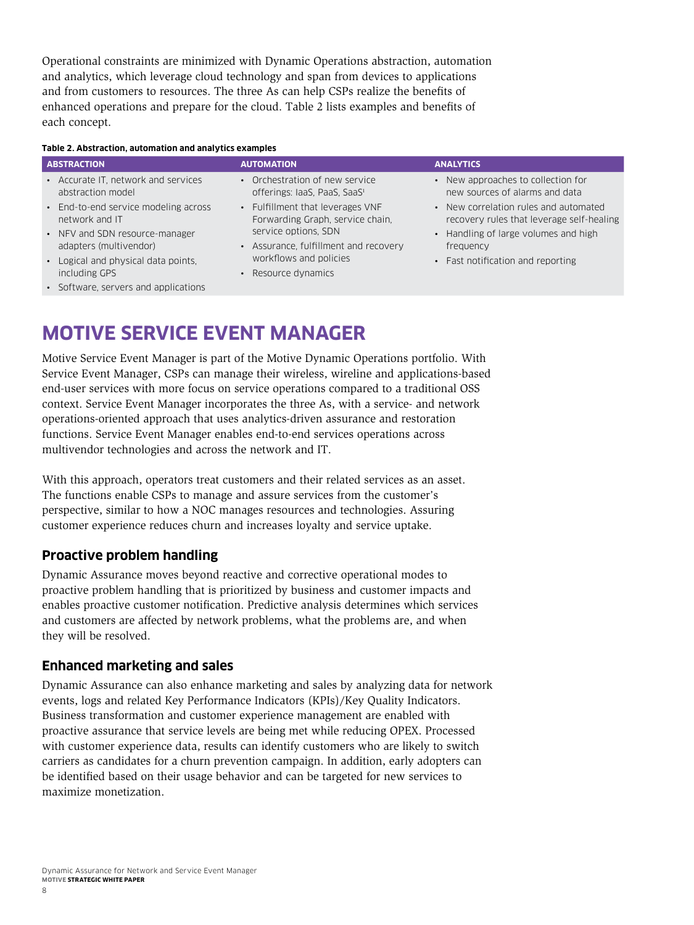<span id="page-9-0"></span>Operational constraints are minimized with Dynamic Operations abstraction, automation and analytics, which leverage cloud technology and span from devices to applications and from customers to resources. The three As can help CSPs realize the benefits of enhanced operations and prepare for the cloud. Table 2 lists examples and benefits of each concept.

#### **Table 2. Abstraction, automation and analytics examples**

| <b>ABSTRACTION</b>                                   | <b>AUTOMATION</b>                           | <b>ANALYTICS</b>                          |
|------------------------------------------------------|---------------------------------------------|-------------------------------------------|
| • Accurate IT, network and services                  | • Orchestration of new service              | • New approaches to collection for        |
| abstraction model                                    | offerings: IaaS, PaaS, SaaS <sup>1</sup>    | new sources of alarms and data            |
| • End-to-end service modeling across                 | • Fulfillment that leverages VNF            | • New correlation rules and automated     |
| network and IT                                       | Forwarding Graph, service chain,            | recovery rules that leverage self-healing |
| • NFV and SDN resource-manager                       | service options, SDN                        | • Handling of large volumes and high      |
| adapters (multivendor)                               | • Assurance, fulfillment and recovery       | frequency                                 |
| • Logical and physical data points,<br>including GPS | workflows and policies<br>Resource dynamics | • Fast notification and reporting         |
| • Software, servers and applications                 |                                             |                                           |

## **MOTIVE SERVICE EVENT MANAGER**

Motive Service Event Manager is part of the Motive Dynamic Operations portfolio. With Service Event Manager, CSPs can manage their wireless, wireline and applications-based end-user services with more focus on service operations compared to a traditional OSS context. Service Event Manager incorporates the three As, with a service- and network operations-oriented approach that uses analytics-driven assurance and restoration functions. Service Event Manager enables end-to-end services operations across multivendor technologies and across the network and IT.

With this approach, operators treat customers and their related services as an asset. The functions enable CSPs to manage and assure services from the customer's perspective, similar to how a NOC manages resources and technologies. Assuring customer experience reduces churn and increases loyalty and service uptake.

#### **Proactive problem handling**

Dynamic Assurance moves beyond reactive and corrective operational modes to proactive problem handling that is prioritized by business and customer impacts and enables proactive customer notification. Predictive analysis determines which services and customers are affected by network problems, what the problems are, and when they will be resolved.

#### **Enhanced marketing and sales**

Dynamic Assurance can also enhance marketing and sales by analyzing data for network events, logs and related Key Performance Indicators (KPIs)/Key Quality Indicators. Business transformation and customer experience management are enabled with proactive assurance that service levels are being met while reducing OPEX. Processed with customer experience data, results can identify customers who are likely to switch carriers as candidates for a churn prevention campaign. In addition, early adopters can be identified based on their usage behavior and can be targeted for new services to maximize monetization.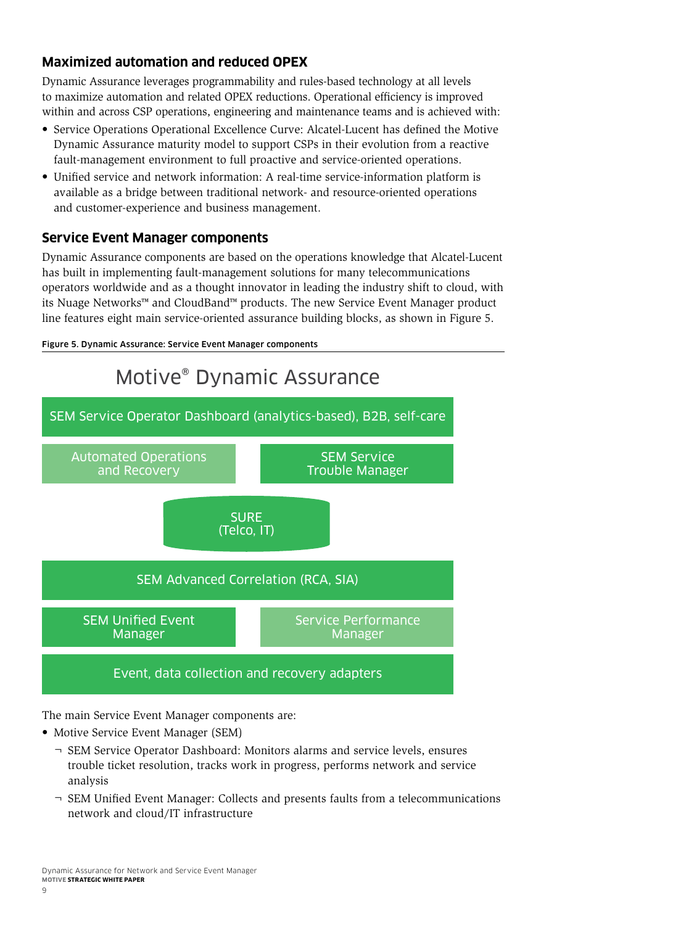### <span id="page-10-0"></span>**Maximized automation and reduced OPEX**

Dynamic Assurance leverages programmability and rules-based technology at all levels to maximize automation and related OPEX reductions. Operational efficiency is improved within and across CSP operations, engineering and maintenance teams and is achieved with:

- Service Operations Operational Excellence Curve: Alcatel-Lucent has defined the Motive Dynamic Assurance maturity model to support CSPs in their evolution from a reactive fault-management environment to full proactive and service-oriented operations.
- Unified service and network information: A real-time service-information platform is available as a bridge between traditional network- and resource-oriented operations and customer-experience and business management.

### **Service Event Manager components**

Dynamic Assurance components are based on the operations knowledge that Alcatel-Lucent has built in implementing fault-management solutions for many telecommunications operators worldwide and as a thought innovator in leading the industry shift to cloud, with its Nuage Networks™ and CloudBand™ products. The new Service Event Manager product line features eight main service-oriented assurance building blocks, as shown in Figure 5.





The main Service Event Manager components are:

- Motive Service Event Manager (SEM)
	- ¬ SEM Service Operator Dashboard: Monitors alarms and service levels, ensures trouble ticket resolution, tracks work in progress, performs network and service analysis
	- ¬ SEM Unified Event Manager: Collects and presents faults from a telecommunications network and cloud/IT infrastructure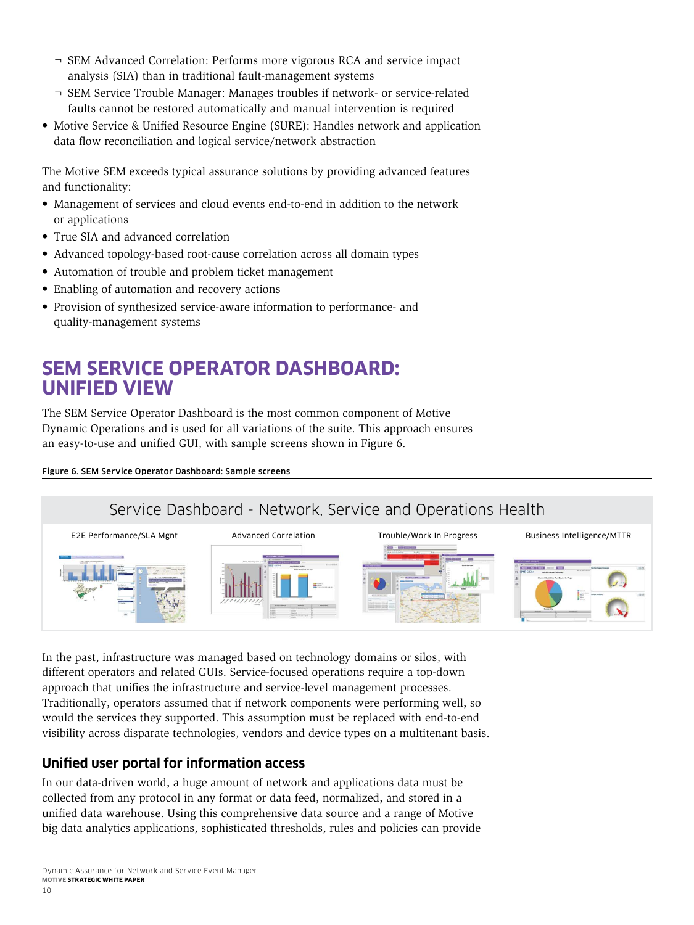- <span id="page-11-0"></span>¬ SEM Advanced Correlation: Performs more vigorous RCA and service impact analysis (SIA) than in traditional fault-management systems
- ¬ SEM Service Trouble Manager: Manages troubles if network- or service-related faults cannot be restored automatically and manual intervention is required
- Motive Service & Unified Resource Engine (SURE): Handles network and application data flow reconciliation and logical service/network abstraction

The Motive SEM exceeds typical assurance solutions by providing advanced features and functionality:

- Management of services and cloud events end-to-end in addition to the network or applications
- True SIA and advanced correlation
- Advanced topology-based root-cause correlation across all domain types
- Automation of trouble and problem ticket management
- Enabling of automation and recovery actions
- Provision of synthesized service-aware information to performance- and quality-management systems

### **SEM SERVICE OPERATOR DASHBOARD: UNIFIED VIEW**

The SEM Service Operator Dashboard is the most common component of Motive Dynamic Operations and is used for all variations of the suite. This approach ensures an easy-to-use and unified GUI, with sample screens shown in Figure 6.

#### Figure 6. SEM Service Operator Dashboard: Sample screens

### Service Dashboard - Network, Service and Operations Health



In the past, infrastructure was managed based on technology domains or silos, with different operators and related GUIs. Service-focused operations require a top-down approach that unifies the infrastructure and service-level management processes. Traditionally, operators assumed that if network components were performing well, so would the services they supported. This assumption must be replaced with end-to-end visibility across disparate technologies, vendors and device types on a multitenant basis.

#### **Unified user portal for information access**

In our data-driven world, a huge amount of network and applications data must be collected from any protocol in any format or data feed, normalized, and stored in a unified data warehouse. Using this comprehensive data source and a range of Motive big data analytics applications, sophisticated thresholds, rules and policies can provide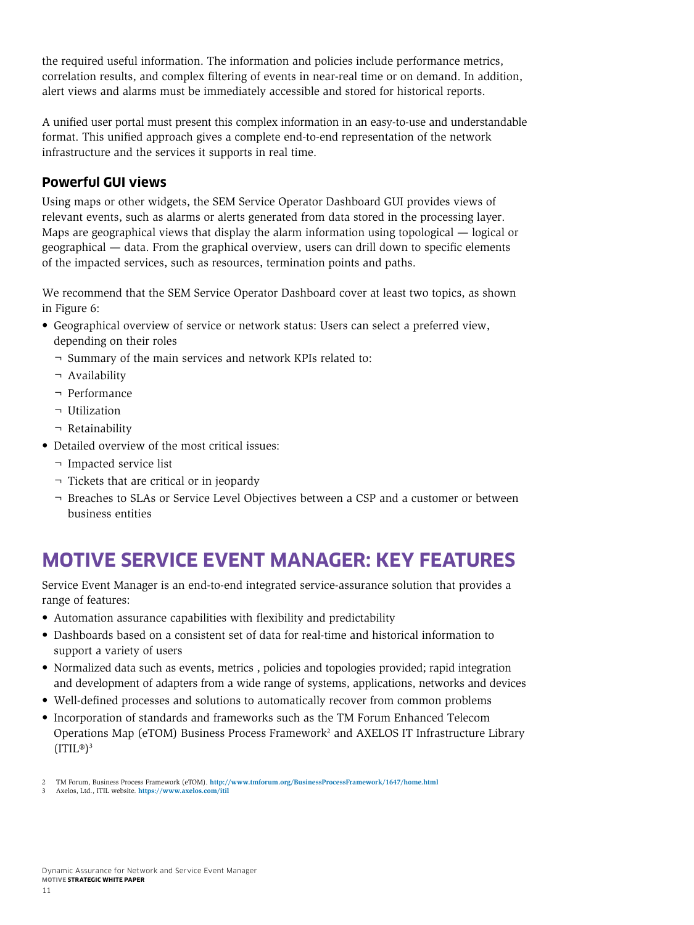<span id="page-12-0"></span>the required useful information. The information and policies include performance metrics, correlation results, and complex filtering of events in near-real time or on demand. In addition, alert views and alarms must be immediately accessible and stored for historical reports.

A unified user portal must present this complex information in an easy-to-use and understandable format. This unified approach gives a complete end-to-end representation of the network infrastructure and the services it supports in real time.

#### **Powerful GUI views**

Using maps or other widgets, the SEM Service Operator Dashboard GUI provides views of relevant events, such as alarms or alerts generated from data stored in the processing layer. Maps are geographical views that display the alarm information using topological — logical or geographical — data. From the graphical overview, users can drill down to specific elements of the impacted services, such as resources, termination points and paths.

We recommend that the SEM Service Operator Dashboard cover at least two topics, as shown in Figure 6:

- Geographical overview of service or network status: Users can select a preferred view, depending on their roles
	- ¬ Summary of the main services and network KPIs related to:
	- ¬ Availability
	- ¬ Performance
	- ¬ Utilization
	- ¬ Retainability
- Detailed overview of the most critical issues:
	- ¬ Impacted service list
	- ¬ Tickets that are critical or in jeopardy
	- ¬ Breaches to SLAs or Service Level Objectives between a CSP and a customer or between business entities

## **MOTIVE SERVICE EVENT MANAGER: KEY FEATURES**

Service Event Manager is an end-to-end integrated service-assurance solution that provides a range of features:

- Automation assurance capabilities with flexibility and predictability
- Dashboards based on a consistent set of data for real-time and historical information to support a variety of users
- Normalized data such as events, metrics , policies and topologies provided; rapid integration and development of adapters from a wide range of systems, applications, networks and devices
- Well-defined processes and solutions to automatically recover from common problems
- Incorporation of standards and frameworks such as the TM Forum Enhanced Telecom Operations Map ( $e$ TOM) Business Process Framework<sup>2</sup> and AXELOS IT Infrastructure Library  $(ITIL<sup>®</sup>)<sup>3</sup>$

3 Axelos, Ltd., ITIL website. **<https://www.axelos.com/itil>**

<sup>2</sup> TM Forum, Business Process Framework (eTOM). **<http://www.tmforum.org/BusinessProcessFramework/1647/home.html>**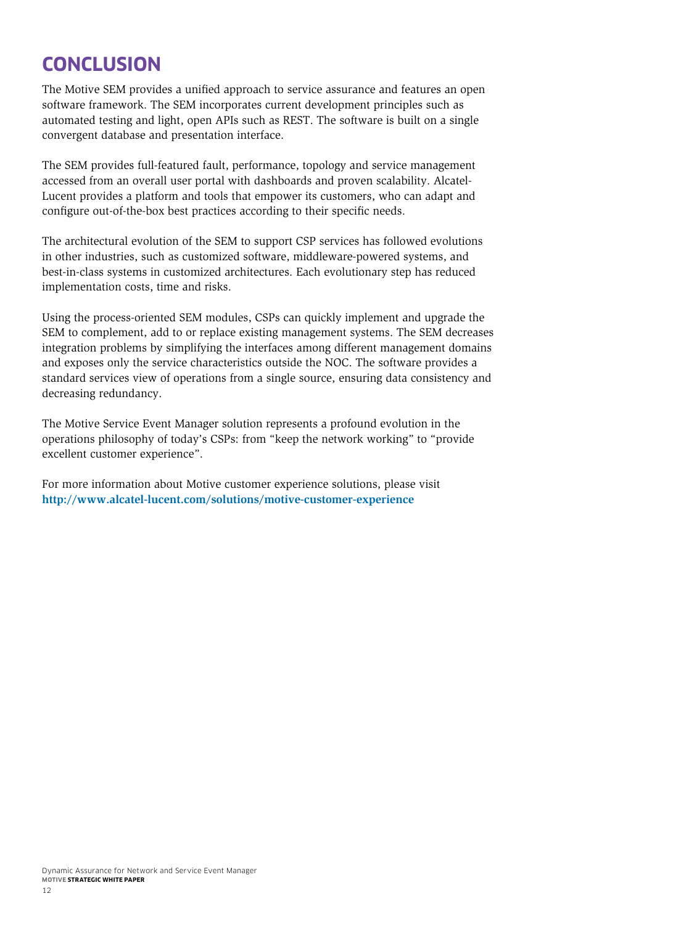## <span id="page-13-0"></span>**CONCLUSION**

The Motive SEM provides a unified approach to service assurance and features an open software framework. The SEM incorporates current development principles such as automated testing and light, open APIs such as REST. The software is built on a single convergent database and presentation interface.

The SEM provides full-featured fault, performance, topology and service management accessed from an overall user portal with dashboards and proven scalability. Alcatel-Lucent provides a platform and tools that empower its customers, who can adapt and configure out-of-the-box best practices according to their specific needs.

The architectural evolution of the SEM to support CSP services has followed evolutions in other industries, such as customized software, middleware-powered systems, and best-in-class systems in customized architectures. Each evolutionary step has reduced implementation costs, time and risks.

Using the process-oriented SEM modules, CSPs can quickly implement and upgrade the SEM to complement, add to or replace existing management systems. The SEM decreases integration problems by simplifying the interfaces among different management domains and exposes only the service characteristics outside the NOC. The software provides a standard services view of operations from a single source, ensuring data consistency and decreasing redundancy.

The Motive Service Event Manager solution represents a profound evolution in the operations philosophy of today's CSPs: from "keep the network working" to "provide excellent customer experience".

For more information about Motive customer experience solutions, please visit **<http://www.alcatel-lucent.com/solutions/motive-customer-experience>**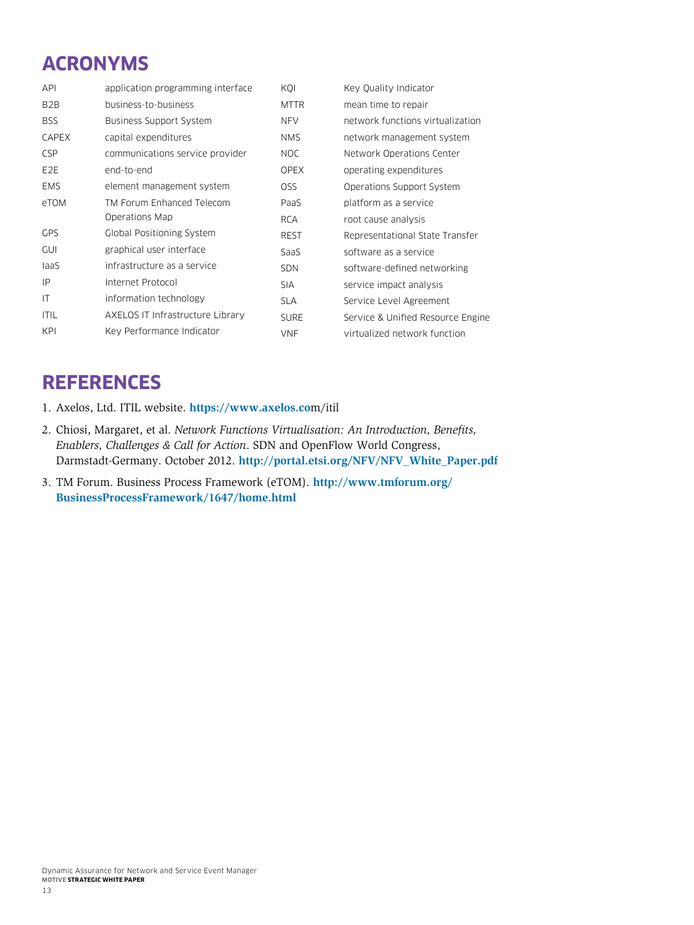# <span id="page-14-0"></span>**ACRONYMS**

| <b>API</b>       | application programming interface | KOI         | Key Quality Indicator             |
|------------------|-----------------------------------|-------------|-----------------------------------|
| B <sub>2</sub> B | business-to-business              | <b>MTTR</b> | mean time to repair               |
| <b>BSS</b>       | <b>Business Support System</b>    | <b>NFV</b>  | network functions virtualization  |
| <b>CAPEX</b>     | capital expenditures              | <b>NMS</b>  | network management system         |
| <b>CSP</b>       | communications service provider   | NOC.        | Network Operations Center         |
| E <sub>2</sub> E | end-to-end                        | <b>OPEX</b> | operating expenditures            |
| <b>EMS</b>       | element management system         | OSS         | Operations Support System         |
| eTOM             | TM Forum Enhanced Telecom         | PaaS        | platform as a service             |
|                  | Operations Map                    | <b>RCA</b>  | root cause analysis               |
| <b>GPS</b>       | Global Positioning System         | <b>REST</b> | Representational State Transfer   |
| <b>GUI</b>       | graphical user interface          | SaaS        | software as a service             |
| laaS             | infrastructure as a service       | <b>SDN</b>  | software-defined networking       |
| IP               | Internet Protocol                 | <b>SIA</b>  | service impact analysis           |
| IT               | information technology            | <b>SLA</b>  | Service Level Agreement           |
| <b>ITIL</b>      | AXELOS IT Infrastructure Library  | <b>SURE</b> | Service & Unified Resource Engine |
| <b>KPI</b>       | Key Performance Indicator         | <b>VNF</b>  | virtualized network function      |

### **REFERENCES**

- 1. Axelos, Ltd. ITIL website. **[https://www.axelos.co](https://www.axelos.com/itil)**m/itil
- 2. Chiosi, Margaret, et al. *Network Functions Virtualisation: An Introduction, Benefits, Enablers, Challenges & Call for Action*. SDN and OpenFlow World Congress, Darmstadt-Germany. October 2012. **[http://portal.etsi.org/NFV/NFV\\_White\\_Paper.pdf](http://portal.etsi.org/NFV/NFV_White_Paper.pdf)**
- 3. TM Forum. Business Process Framework (eTOM). **[http://www.tmforum.org/](http://www.tmforum.org/BusinessProcessFramework/1647/home.html) [BusinessProcessFramework/1647/home.html](http://www.tmforum.org/BusinessProcessFramework/1647/home.html)**